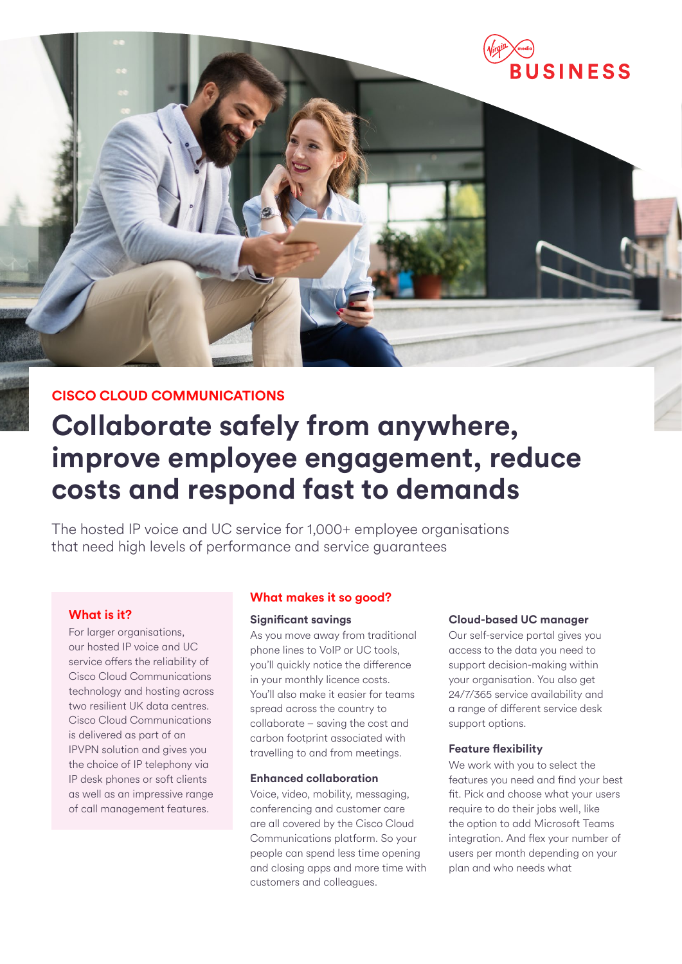

### **CISCO CLOUD COMMUNICATIONS**

# **Collaborate safely from anywhere, improve employee engagement, reduce costs and respond fast to demands**

The hosted IP voice and UC service for 1,000+ employee organisations that need high levels of performance and service guarantees

### **What is it?**

For larger organisations, our hosted IP voice and UC service offers the reliability of Cisco Cloud Communications technology and hosting across two resilient UK data centres. Cisco Cloud Communications is delivered as part of an IPVPN solution and gives you the choice of IP telephony via IP desk phones or soft clients as well as an impressive range of call management features.

### **What makes it so good?**

### **Significant savings**

As you move away from traditional phone lines to VoIP or UC tools, you'll quickly notice the difference in your monthly licence costs. You'll also make it easier for teams spread across the country to collaborate – saving the cost and carbon footprint associated with travelling to and from meetings.

#### **Enhanced collaboration**

Voice, video, mobility, messaging, conferencing and customer care are all covered by the Cisco Cloud Communications platform. So your people can spend less time opening and closing apps and more time with customers and colleagues.

### **Cloud-based UC manager**

Our self-service portal gives you access to the data you need to support decision-making within your organisation. You also get 24/7/365 service availability and a range of different service desk support options.

### **Feature flexibility**

We work with you to select the features you need and find your best fit. Pick and choose what your users require to do their jobs well, like the option to add Microsoft Teams integration. And flex your number of users per month depending on your plan and who needs what